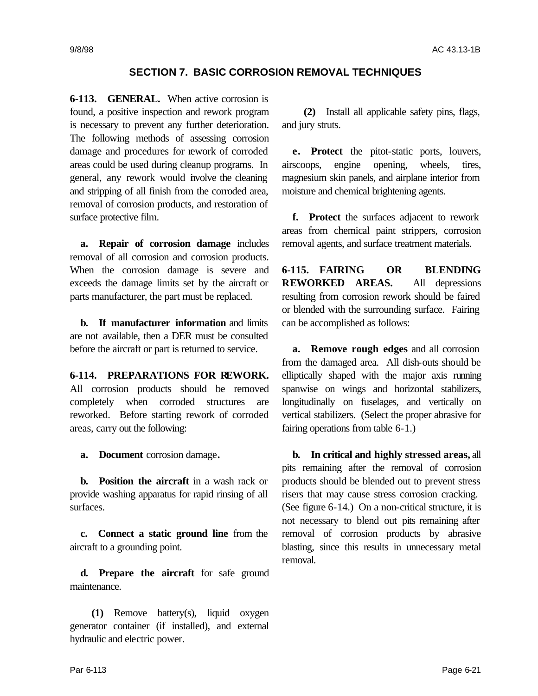## **SECTION 7. BASIC CORROSION REMOVAL TECHNIQUES**

**6-113. GENERAL.** When active corrosion is found, a positive inspection and rework program is necessary to prevent any further deterioration. The following methods of assessing corrosion damage and procedures for rework of corroded areas could be used during cleanup programs. In general, any rework would involve the cleaning and stripping of all finish from the corroded area, removal of corrosion products, and restoration of surface protective film.

**a. Repair of corrosion damage** includes removal of all corrosion and corrosion products. When the corrosion damage is severe and exceeds the damage limits set by the aircraft or parts manufacturer, the part must be replaced.

**b. If manufacturer information** and limits are not available, then a DER must be consulted before the aircraft or part is returned to service.

**6-114. PREPARATIONS FOR REWORK.** All corrosion products should be removed completely when corroded structures are reworked. Before starting rework of corroded areas, carry out the following:

**a. Document** corrosion damage**.**

**b. Position the aircraft** in a wash rack or provide washing apparatus for rapid rinsing of all surfaces.

**c. Connect a static ground line** from the aircraft to a grounding point.

**d. Prepare the aircraft** for safe ground maintenance.

**(1)** Remove battery(s), liquid oxygen generator container (if installed), and external hydraulic and electric power.

**(2)** Install all applicable safety pins, flags, and jury struts.

**e. Protect** the pitot-static ports, louvers, airscoops, engine opening, wheels, tires, magnesium skin panels, and airplane interior from moisture and chemical brightening agents.

**f. Protect** the surfaces adjacent to rework areas from chemical paint strippers, corrosion removal agents, and surface treatment materials.

**6-115. FAIRING OR BLENDING REWORKED AREAS.** All depressions resulting from corrosion rework should be faired or blended with the surrounding surface. Fairing can be accomplished as follows:

**a. Remove rough edges** and all corrosion from the damaged area. All dish-outs should be elliptically shaped with the major axis running spanwise on wings and horizontal stabilizers, longitudinally on fuselages, and vertically on vertical stabilizers. (Select the proper abrasive for fairing operations from table 6-1.)

**b. In critical and highly stressed areas,** all pits remaining after the removal of corrosion products should be blended out to prevent stress risers that may cause stress corrosion cracking. (See figure 6-14.) On a non-critical structure, it is not necessary to blend out pits remaining after removal of corrosion products by abrasive blasting, since this results in unnecessary metal removal.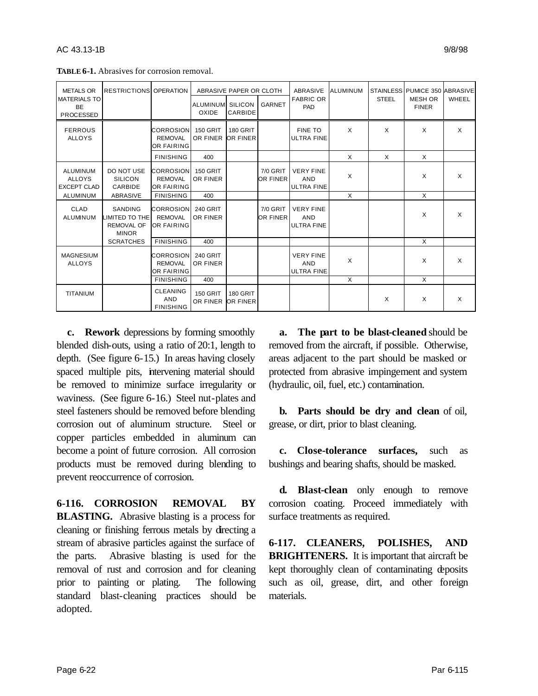| <b>METALS OR</b><br><b>IRESTRICTIONS OPERATION</b>     |                                                                |                                                         | ABRASIVE PAPER OR CLOTH            |                                    |                        | ABRASIVE                                            | ALUMINUM |              | STAINLESS PUMICE 350 ABRASIVE  |          |
|--------------------------------------------------------|----------------------------------------------------------------|---------------------------------------------------------|------------------------------------|------------------------------------|------------------------|-----------------------------------------------------|----------|--------------|--------------------------------|----------|
| <b>MATERIALS TO</b><br><b>BE</b><br><b>PROCESSED</b>   |                                                                |                                                         | ALUMINUM SILICON<br>OXIDE          | CARBIDE                            | <b>GARNET</b>          | <b>FABRIC OR</b><br><b>PAD</b>                      |          | <b>STEEL</b> | <b>MESH OR</b><br><b>FINER</b> | WHEEL    |
| <b>FERROUS</b><br><b>ALLOYS</b>                        |                                                                | <b>CORROSION</b><br><b>REMOVAL</b><br><b>OR FAIRING</b> | <b>150 GRIT</b><br>OR FINER        | <b>180 GRIT</b><br>OR FINER        |                        | <b>FINE TO</b><br><b>ULTRA FINE</b>                 | X        | $\times$     | X                              | X        |
|                                                        |                                                                | <b>FINISHING</b>                                        | 400                                |                                    |                        |                                                     | X        | X            | X                              |          |
| <b>ALUMINUM</b><br><b>ALLOYS</b><br><b>EXCEPT CLAD</b> | DO NOT USE<br><b>SILICON</b><br>CARBIDE                        | <b>CORROSION</b><br><b>REMOVAL</b><br>OR FAIRING        | <b>150 GRIT</b><br><b>OR FINER</b> |                                    | 7/0 GRIT<br>OR FINER   | <b>VERY FINE</b><br>AND<br><b>ULTRA FINE</b>        | X        |              | X                              | $\times$ |
| ALUMINUM                                               | ABRASIVE                                                       | <b>FINISHING</b>                                        | 400                                |                                    |                        |                                                     | X        |              | X                              |          |
| CLAD<br>ALUMINUM                                       | SANDING<br>LIMITED TO THE<br><b>REMOVAL OF</b><br><b>MINOR</b> | <b>CORROSION</b><br><b>REMOVAL</b><br><b>OR FAIRING</b> | 240 GRIT<br>OR FINER               |                                    | $7/0$ GRIT<br>OR FINER | <b>VERY FINE</b><br><b>AND</b><br><b>ULTRA FINE</b> |          |              | X                              | X        |
|                                                        | <b>SCRATCHES</b>                                               | <b>FINISHING</b>                                        | 400                                |                                    |                        |                                                     |          |              | X                              |          |
| <b>MAGNESIUM</b><br><b>ALLOYS</b>                      |                                                                | <b>CORROSION</b><br><b>REMOVAL</b><br>OR FAIRING        | <b>240 GRIT</b><br>OR FINER        |                                    |                        | <b>VERY FINE</b><br>AND<br><b>ULTRA FINE</b>        | X        |              | X                              | $\times$ |
|                                                        |                                                                | <b>FINISHING</b>                                        | 400                                |                                    |                        |                                                     | X        |              | X                              |          |
| <b>TITANIUM</b>                                        |                                                                | <b>CLEANING</b><br>AND<br><b>FINISHING</b>              | <b>150 GRIT</b><br>OR FINER        | <b>180 GRIT</b><br><b>OR FINER</b> |                        |                                                     |          | X            | X                              | X        |

**TABLE 6-1.** Abrasives for corrosion removal.

**c. Rework** depressions by forming smoothly blended dish-outs, using a ratio of 20:1, length to depth. (See figure 6-15.) In areas having closely spaced multiple pits, intervening material should be removed to minimize surface irregularity or waviness. (See figure 6-16.) Steel nut-plates and steel fasteners should be removed before blending corrosion out of aluminum structure. Steel or copper particles embedded in aluminum can become a point of future corrosion. All corrosion products must be removed during blending to prevent reoccurrence of corrosion.

**6-116. CORROSION REMOVAL BY BLASTING.** Abrasive blasting is a process for cleaning or finishing ferrous metals by directing a stream of abrasive particles against the surface of the parts. Abrasive blasting is used for the removal of rust and corrosion and for cleaning prior to painting or plating. The following standard blast-cleaning practices should be adopted.

**a. The part to be blast-cleaned** should be removed from the aircraft, if possible. Otherwise, areas adjacent to the part should be masked or protected from abrasive impingement and system (hydraulic, oil, fuel, etc.) contamination.

**b. Parts should be dry and clean** of oil, grease, or dirt, prior to blast cleaning.

**c. Close-tolerance surfaces,** such as bushings and bearing shafts, should be masked.

**d. Blast-clean** only enough to remove corrosion coating. Proceed immediately with surface treatments as required.

**6-117. CLEANERS, POLISHES, AND BRIGHTENERS.** It is important that aircraft be kept thoroughly clean of contaminating deposits such as oil, grease, dirt, and other foreign materials.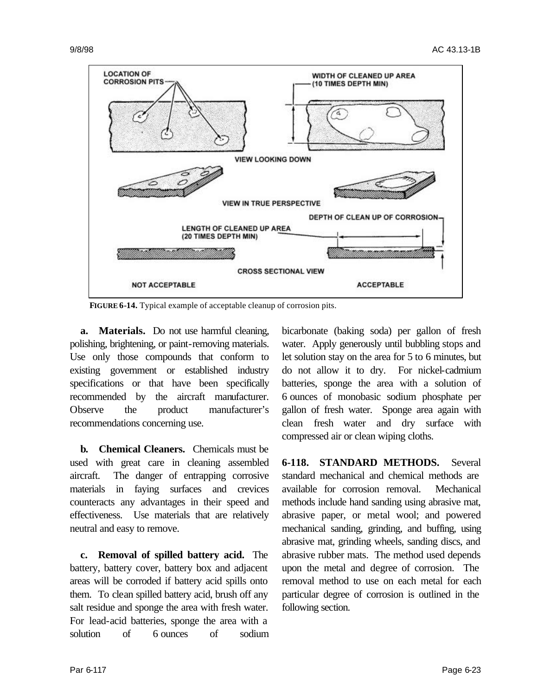

**FIGURE 6-14.** Typical example of acceptable cleanup of corrosion pits.

**a. Materials.** Do not use harmful cleaning, polishing, brightening, or paint-removing materials. Use only those compounds that conform to existing government or established industry specifications or that have been specifically recommended by the aircraft manufacturer. Observe the product manufacturer's recommendations concerning use.

**b. Chemical Cleaners.** Chemicals must be used with great care in cleaning assembled aircraft. The danger of entrapping corrosive materials in faying surfaces and crevices counteracts any advantages in their speed and effectiveness. Use materials that are relatively neutral and easy to remove.

**c. Removal of spilled battery acid.** The battery, battery cover, battery box and adjacent areas will be corroded if battery acid spills onto them. To clean spilled battery acid, brush off any salt residue and sponge the area with fresh water. For lead-acid batteries, sponge the area with a solution of 6 ounces of sodium

bicarbonate (baking soda) per gallon of fresh water. Apply generously until bubbling stops and let solution stay on the area for 5 to 6 minutes, but do not allow it to dry. For nickel-cadmium batteries, sponge the area with a solution of 6 ounces of monobasic sodium phosphate per gallon of fresh water. Sponge area again with clean fresh water and dry surface with compressed air or clean wiping cloths.

**6-118. STANDARD METHODS.** Several standard mechanical and chemical methods are available for corrosion removal. Mechanical methods include hand sanding using abrasive mat, abrasive paper, or metal wool; and powered mechanical sanding, grinding, and buffing, using abrasive mat, grinding wheels, sanding discs, and abrasive rubber mats. The method used depends upon the metal and degree of corrosion. The removal method to use on each metal for each particular degree of corrosion is outlined in the following section.